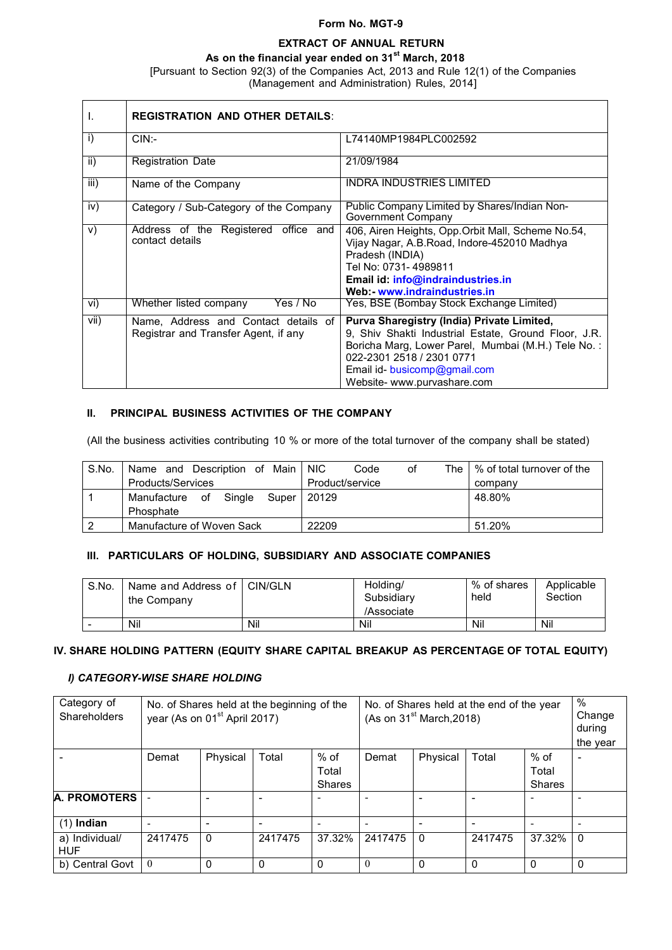#### **Form No. MGT-9**

# **EXTRACT OF ANNUAL RETURN**

**As on the financial year ended on 31st March, 2018**

[Pursuant to Section 92(3) of the Companies Act, 2013 and Rule 12(1) of the Companies (Management and Administration) Rules, 2014]

| I.                        | <b>REGISTRATION AND OTHER DETAILS:</b>                                       |                                                                                                                                                                                                                                                      |
|---------------------------|------------------------------------------------------------------------------|------------------------------------------------------------------------------------------------------------------------------------------------------------------------------------------------------------------------------------------------------|
| i)                        | $CIN$ :-                                                                     | L74140MP1984PLC002592                                                                                                                                                                                                                                |
| ii)                       | <b>Registration Date</b>                                                     | 21/09/1984                                                                                                                                                                                                                                           |
| $\overline{\mathsf{iii}}$ | Name of the Company                                                          | <b>INDRA INDUSTRIES LIMITED</b>                                                                                                                                                                                                                      |
| iv)                       | Category / Sub-Category of the Company                                       | Public Company Limited by Shares/Indian Non-<br>Government Company                                                                                                                                                                                   |
| V)                        | Address of the Registered office and<br>contact details                      | 406, Airen Heights, Opp. Orbit Mall, Scheme No.54,<br>Vijay Nagar, A.B.Road, Indore-452010 Madhya<br>Pradesh (INDIA)<br>Tel No: 0731-4989811<br>Email id: info@indraindustries.in<br>Web: www.indraindustries.in                                     |
| vi)                       | Yes / No<br>Whether listed company                                           | Yes, BSE (Bombay Stock Exchange Limited)                                                                                                                                                                                                             |
| vii)                      | Name, Address and Contact details of<br>Registrar and Transfer Agent, if any | Purva Sharegistry (India) Private Limited,<br>9, Shiv Shakti Industrial Estate, Ground Floor, J.R.<br>Boricha Marg, Lower Parel, Mumbai (M.H.) Tele No.:<br>022-2301 2518 / 2301 0771<br>Email id- busicomp@gmail.com<br>Website- www.purvashare.com |

#### **II. PRINCIPAL BUSINESS ACTIVITIES OF THE COMPANY**

(All the business activities contributing 10 % or more of the total turnover of the company shall be stated)

| S.No. | Name and Description of Main      | <b>NIC</b><br>Code<br>οf | The $\frac{1}{2}$ of total turnover of the |
|-------|-----------------------------------|--------------------------|--------------------------------------------|
|       | Products/Services                 | Product/service          | company                                    |
|       | Manufacture of<br>Sinale<br>Super | 20129                    | 48.80%                                     |
|       | Phosphate                         |                          |                                            |
| 2     | Manufacture of Woven Sack         | 22209                    | 51.20%                                     |

## **III. PARTICULARS OF HOLDING, SUBSIDIARY AND ASSOCIATE COMPANIES**

| S.No.                    | Name and Address of   CIN/GLN<br>the Company |     | Holding/<br>Subsidiary<br>/Associate | % of shares<br>held | Applicable<br>Section |
|--------------------------|----------------------------------------------|-----|--------------------------------------|---------------------|-----------------------|
| $\overline{\phantom{0}}$ | Nil                                          | Nil | Nil                                  | Nil                 | Nil                   |

### **IV. SHARE HOLDING PATTERN (EQUITY SHARE CAPITAL BREAKUP AS PERCENTAGE OF TOTAL EQUITY)**

#### *I) CATEGORY-WISE SHARE HOLDING*

| Category of<br>Shareholders  |          | year (As on 01 <sup>st</sup> April 2017) | No. of Shares held at the beginning of the |                                  | No. of Shares held at the end of the year<br>(As on $31st March, 2018$ ) |              |          |                                | %<br>Change<br>during<br>the year |
|------------------------------|----------|------------------------------------------|--------------------------------------------|----------------------------------|--------------------------------------------------------------------------|--------------|----------|--------------------------------|-----------------------------------|
|                              | Demat    | Physical                                 | Total                                      | $%$ of<br>Total<br><b>Shares</b> | Demat                                                                    | Physical     | Total    | % of<br>Total<br><b>Shares</b> |                                   |
| <b>A. PROMOTERS</b>          |          |                                          |                                            |                                  |                                                                          |              |          |                                |                                   |
| $(1)$ Indian                 | ۰        |                                          |                                            |                                  |                                                                          |              |          | $\overline{\phantom{0}}$       |                                   |
| a) Individual/<br><b>HUF</b> | 2417475  | $\Omega$                                 | 2417475                                    | 37.32%                           | 2417475                                                                  | $\mathbf{0}$ | 2417475  | 37.32%                         | $\mathbf 0$                       |
| b) Central Govt              | $\theta$ | 0                                        | 0                                          | $\Omega$                         | $\theta$                                                                 | 0            | $\Omega$ | $\Omega$                       | $\mathbf 0$                       |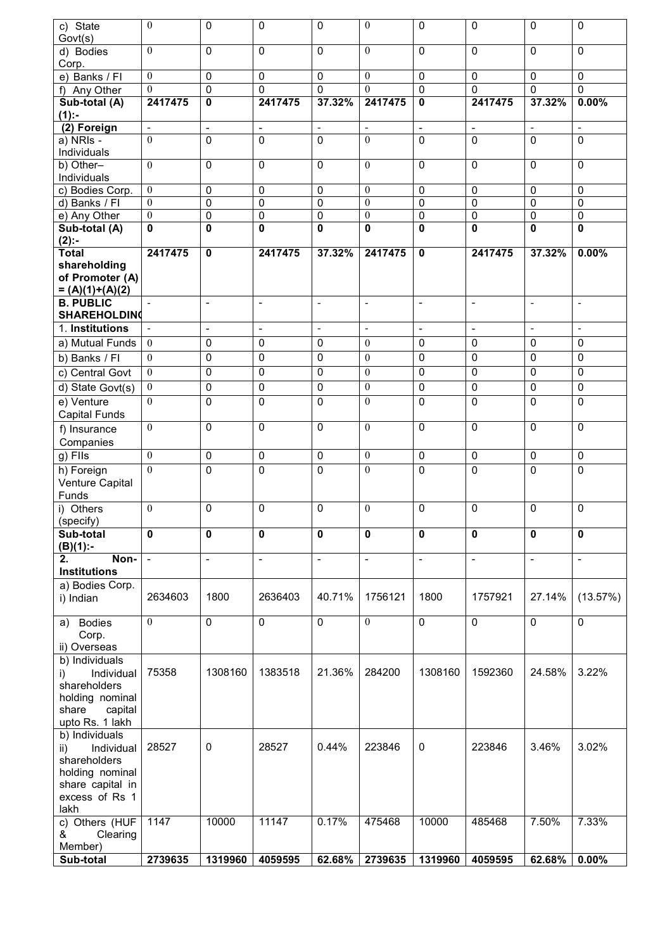| c) State<br>Govt(s)                    | $\mathbf{0}$     | 0                        | 0                        | 0                        | $\mathbf{0}$             | $\pmb{0}$                | 0                        | 0                        | 0              |
|----------------------------------------|------------------|--------------------------|--------------------------|--------------------------|--------------------------|--------------------------|--------------------------|--------------------------|----------------|
| d) Bodies<br>Corp.                     | $\theta$         | 0                        | 0                        | $\Omega$                 | $\theta$                 | $\mathbf 0$              | $\Omega$                 | 0                        | 0              |
| e) Banks / Fl                          | $\mathbf{0}$     | 0                        | 0                        | 0                        | $\theta$                 | $\overline{0}$           | 0                        | $\mathbf 0$              | 0              |
| f) Any Other                           | $\theta$         | $\overline{0}$           | 0                        | 0                        | $\Omega$                 | $\overline{0}$           | 0                        | $\mathbf{0}$             | 0              |
| Sub-total (A)                          | 2417475          | 0                        | 2417475                  | 37.32%                   | 2417475                  | $\mathbf 0$              | 2417475                  | 37.32%                   | 0.00%          |
| $(1)$ :-                               |                  |                          |                          |                          |                          |                          |                          |                          |                |
| (2) Foreign                            | $\blacksquare$   | $\overline{\phantom{a}}$ | $\overline{\phantom{a}}$ | $\overline{\phantom{a}}$ | $\overline{\phantom{a}}$ | $\overline{\phantom{a}}$ | $\overline{\phantom{a}}$ | $\overline{\phantom{a}}$ | $\blacksquare$ |
| a) NRIs -<br>Individuals               | $\theta$         | 0                        | 0                        | $\mathbf 0$              | $\mathbf{0}$             | $\overline{0}$           | 0                        | $\mathbf{0}$             | $\Omega$       |
| b) Other-<br>Individuals               | $\theta$         | 0                        | 0                        | $\Omega$                 | $\theta$                 | $\mathbf 0$              | 0                        | 0                        | 0              |
| c) Bodies Corp.                        | $\mathbf{0}$     | $\pmb{0}$                | 0                        | 0                        | $\mathbf{0}$             | $\pmb{0}$                | 0                        | $\mathbf 0$              | 0              |
| d) Banks / Fl                          | $\mathbf{0}$     | $\pmb{0}$                | $\mathbf 0$              | 0                        | $\mathbf{0}$             | $\overline{0}$           | 0                        | $\mathbf 0$              | $\mathbf 0$    |
| e) Any Other                           | $\boldsymbol{0}$ | $\pmb{0}$                | $\overline{0}$           | $\pmb{0}$                | $\mathbf{0}$             | $\overline{0}$           | $\pmb{0}$                | $\mathbf 0$              | 0              |
| Sub-total (A)                          | $\bf{0}$         | 0                        | 0                        | 0                        | $\mathbf 0$              | $\overline{\mathbf{0}}$  | 0                        | $\mathbf 0$              | $\mathbf 0$    |
| $(2)$ :-                               |                  |                          |                          |                          |                          |                          |                          |                          |                |
| <b>Total</b>                           | 2417475          | $\mathbf 0$              | 2417475                  | 37.32%                   | 2417475                  | $\mathbf 0$              | 2417475                  | 37.32%                   | 0.00%          |
| shareholding                           |                  |                          |                          |                          |                          |                          |                          |                          |                |
| of Promoter (A)                        |                  |                          |                          |                          |                          |                          |                          |                          |                |
| $= (A)(1)+(A)(2)$                      |                  |                          |                          |                          |                          |                          |                          |                          |                |
| <b>B. PUBLIC</b>                       |                  | $\overline{\phantom{0}}$ | $\overline{\phantom{a}}$ | $\overline{\phantom{a}}$ | $\blacksquare$           |                          |                          | $\blacksquare$           | $\overline{a}$ |
| <b>SHAREHOLDING</b>                    |                  |                          |                          |                          |                          |                          |                          |                          |                |
| 1. Institutions                        | $\omega$         | $\blacksquare$           | $\overline{a}$           | $\blacksquare$           | $\Box$                   | $\sim$                   | $\sim$                   | $\mathbf{r}$             | $\blacksquare$ |
| a) Mutual Funds                        | $\overline{0}$   | 0                        | 0                        | 0                        | $\mathbf{0}$             | $\mathbf 0$              | 0                        | 0                        | 0              |
| b) Banks / Fl                          | $\mathbf{0}$     | $\pmb{0}$                | 0                        | 0                        | $\mathbf{0}$             | $\overline{0}$           | $\mathbf 0$              | 0                        | $\pmb{0}$      |
| c) Central Govt                        | $\mathbf{0}$     | $\pmb{0}$                | $\mathbf 0$              | 0                        | $\overline{0}$           | $\overline{0}$           | $\mathbf 0$              | 0                        | $\mathbf 0$    |
| d) State Govt(s)                       | $\overline{0}$   | $\pmb{0}$                | $\pmb{0}$                | 0                        | $\mathbf{0}$             | $\pmb{0}$                | 0                        | $\pmb{0}$                | 0              |
| e) Venture                             | $\theta$         | 0                        | $\Omega$                 | $\Omega$                 | $\theta$                 | $\mathbf 0$              | 0                        | $\mathbf{0}$             | 0              |
| Capital Funds                          |                  |                          |                          |                          |                          |                          |                          |                          |                |
| f) Insurance                           | $\overline{0}$   | 0                        | 0                        | 0                        | $\theta$                 | $\mathbf 0$              | 0                        | 0                        | 0              |
| Companies                              |                  |                          |                          |                          |                          |                          |                          |                          |                |
| $g)$ Fils                              | $\mathbf{0}$     | 0                        | 0                        | 0                        | $\overline{0}$           | 0                        | 0                        | $\mathbf 0$              | 0              |
|                                        | $\theta$         |                          |                          |                          | $\theta$                 |                          |                          |                          |                |
| h) Foreign<br>Venture Capital<br>Funds |                  | 0                        | $\mathbf 0$              | $\Omega$                 |                          | $\mathbf 0$              | 0                        | $\mathbf{0}$             | 0              |
| i) Others                              | $\mathbf{0}$     | 0                        | 0                        | 0                        | $\mathbf{0}$             | $\mathbf{0}$             | 0                        | 0                        | 0              |
| (specify)                              |                  |                          |                          |                          |                          |                          |                          |                          |                |
| Sub-total<br>$(B)(1)$ :-               | $\mathbf{0}$     | 0                        | $\mathbf 0$              | 0                        | $\mathbf 0$              | $\mathbf 0$              | 0                        | $\mathbf 0$              | 0              |
| Non-<br>2.                             | $\Box$           | $\overline{a}$           | $\frac{1}{2}$            | $\overline{a}$           | $\overline{\phantom{a}}$ | $\overline{\phantom{a}}$ | $\overline{a}$           | $\overline{\phantom{a}}$ | $\frac{1}{2}$  |
| <b>Institutions</b>                    |                  |                          |                          |                          |                          |                          |                          |                          |                |
| a) Bodies Corp.                        |                  |                          |                          |                          |                          |                          |                          |                          |                |
| i) Indian                              | 2634603          | 1800                     | 2636403                  | 40.71%                   | 1756121                  | 1800                     | 1757921                  | 27.14%                   | (13.57%)       |
|                                        |                  |                          |                          |                          |                          |                          |                          |                          |                |
| a) Bodies                              | $\mathbf{0}$     | 0                        | 0                        | $\overline{0}$           | $\mathbf{0}$             | $\overline{0}$           | 0                        | $\overline{0}$           | $\overline{0}$ |
| Corp.                                  |                  |                          |                          |                          |                          |                          |                          |                          |                |
| ii) Overseas<br>b) Individuals         |                  |                          |                          |                          |                          |                          |                          |                          |                |
| Individual<br>i)                       | 75358            | 1308160                  | 1383518                  | 21.36%                   | 284200                   | 1308160                  | 1592360                  | 24.58%                   | 3.22%          |
| shareholders                           |                  |                          |                          |                          |                          |                          |                          |                          |                |
| holding nominal                        |                  |                          |                          |                          |                          |                          |                          |                          |                |
| capital<br>share                       |                  |                          |                          |                          |                          |                          |                          |                          |                |
| upto Rs. 1 lakh                        |                  |                          |                          |                          |                          |                          |                          |                          |                |
| b) Individuals                         |                  |                          |                          |                          |                          |                          |                          |                          |                |
| Individual<br>ii)                      | 28527            | 0                        | 28527                    | 0.44%                    | 223846                   | 0                        | 223846                   | 3.46%                    | 3.02%          |
| shareholders                           |                  |                          |                          |                          |                          |                          |                          |                          |                |
| holding nominal                        |                  |                          |                          |                          |                          |                          |                          |                          |                |
| share capital in                       |                  |                          |                          |                          |                          |                          |                          |                          |                |
| excess of Rs 1                         |                  |                          |                          |                          |                          |                          |                          |                          |                |
| lakh                                   |                  |                          |                          |                          |                          |                          |                          |                          |                |
| c) Others (HUF                         | 1147             | 10000                    | 11147                    | 0.17%                    | 475468                   | 10000                    | 485468                   | 7.50%                    | 7.33%          |
| &<br>Clearing                          |                  |                          |                          |                          |                          |                          |                          |                          |                |
| Member)                                |                  |                          |                          |                          |                          |                          |                          |                          |                |
| Sub-total                              | 2739635          | 1319960                  | 4059595                  | 62.68%                   | 2739635                  | 1319960                  | 4059595                  | 62.68%                   | 0.00%          |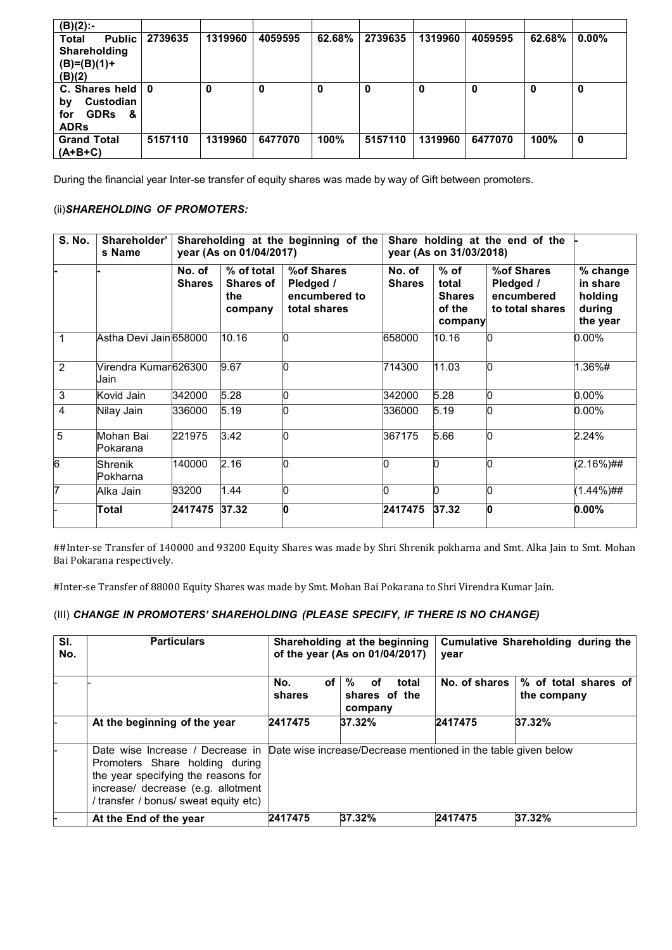| $(B)(2)$ :-                    |         |         |         |        |         |         |         |        |          |
|--------------------------------|---------|---------|---------|--------|---------|---------|---------|--------|----------|
| <b>Total</b><br><b>Public</b>  | 2739635 | 1319960 | 4059595 | 62.68% | 2739635 | 1319960 | 4059595 | 62.68% | $0.00\%$ |
| Shareholding                   |         |         |         |        |         |         |         |        |          |
| $(B)=(B)(1)+$                  |         |         |         |        |         |         |         |        |          |
| (B)(2)                         |         |         |         |        |         |         |         |        |          |
| C. Shares held $\vert 0 \vert$ |         | 0       | 0       | 0      | 0       | 0       | 0       | 0      | 0        |
| Custodian<br>by                |         |         |         |        |         |         |         |        |          |
| <b>GDRs</b><br>&<br>for        |         |         |         |        |         |         |         |        |          |
| <b>ADRs</b>                    |         |         |         |        |         |         |         |        |          |
| <b>Grand Total</b>             | 5157110 | 1319960 | 6477070 | 100%   | 5157110 | 1319960 | 6477070 | 100%   | 0        |
| $(A+B+C)$                      |         |         |         |        |         |         |         |        |          |

During the financial year Inter-se transfer of equity shares was made by way of Gift between promoters.

#### (ii)*SHAREHOLDING OF PROMOTERS:*

| <b>S. No.</b> | Shareholder'<br>s Name       |                         | year (As on 01/04/2017)                          | Shareholding at the beginning of the                     | Share holding at the end of the<br>year (As on 31/03/2018) |                                                       |                                                          |                                                       |
|---------------|------------------------------|-------------------------|--------------------------------------------------|----------------------------------------------------------|------------------------------------------------------------|-------------------------------------------------------|----------------------------------------------------------|-------------------------------------------------------|
|               |                              | No. of<br><b>Shares</b> | % of total<br><b>Shares of</b><br>the<br>company | %of Shares<br>Pledged /<br>encumbered to<br>total shares | No. of<br><b>Shares</b>                                    | $%$ of<br>total<br><b>Shares</b><br>of the<br>company | %of Shares<br>Pledged /<br>encumbered<br>to total shares | % change<br>in share<br>holding<br>during<br>the year |
| 1             | Astha Devi Jain 658000       |                         | 10.16                                            | n                                                        | 658000                                                     | 10.16                                                 | n                                                        | $0.00\%$                                              |
| 2             | Virendra Kumar626300<br>Jain |                         | 9.67                                             | n                                                        | 714300                                                     | 11.03                                                 | b                                                        | 1.36%#                                                |
| 3             | Kovid Jain                   | 342000                  | 5.28                                             | n                                                        | 342000                                                     | 5.28                                                  | n                                                        | $0.00\%$                                              |
| 4             | Nilay Jain                   | 336000                  | 5.19                                             | n                                                        | 336000                                                     | 5.19                                                  |                                                          | $0.00\%$                                              |
| 5             | Mohan Bai<br>lPokarana       | 221975                  | 3.42                                             | 'n                                                       | 367175                                                     | 5.66                                                  |                                                          | 2.24%                                                 |
| 6             | Shrenik<br>lPokharna         | 140000                  | 2.16                                             |                                                          | h                                                          |                                                       |                                                          | (2.16%)##                                             |
| 17            | Alka Jain                    | 93200                   | 1.44                                             | h                                                        |                                                            |                                                       |                                                          | (1.44%)##                                             |
|               | Total                        | 2417475                 | 37.32                                            | n                                                        | 2417475                                                    | 37.32                                                 | O                                                        | $0.00\%$                                              |

##Inter-se Transfer of 140000 and 93200 Equity Shares was made by Shri Shrenik pokharna and Smt. Alka Jain to Smt. Mohan Bai Pokarana respectively.

#Inter-se Transfer of 88000 Equity Shares was made by Smt. Mohan Bai Pokarana to Shri Virendra Kumar Jain.

#### (III) *CHANGE IN PROMOTERS' SHAREHOLDING (PLEASE SPECIFY, IF THERE IS NO CHANGE)*

| SI.<br>No. | <b>Particulars</b>                                                                                                                                                                                                                                      |                                  | Shareholding at the beginning<br>of the year (As on 01/04/2017) | Cumulative Shareholding during the<br>year |                                     |  |
|------------|---------------------------------------------------------------------------------------------------------------------------------------------------------------------------------------------------------------------------------------------------------|----------------------------------|-----------------------------------------------------------------|--------------------------------------------|-------------------------------------|--|
|            |                                                                                                                                                                                                                                                         | No.<br>of <sub>l</sub><br>shares | %<br>оf<br>total<br>shares of the<br>company                    | No. of shares                              | % of total shares of<br>the company |  |
|            | At the beginning of the year                                                                                                                                                                                                                            | 2417475                          | 37.32%                                                          | 2417475                                    | 37.32%                              |  |
|            | Date wise Increase / Decrease in Date wise increase/Decrease mentioned in the table given below<br>Promoters Share holding during<br>the year specifying the reasons for<br>increase/ decrease (e.g. allotment<br>/ transfer / bonus/ sweat equity etc) |                                  |                                                                 |                                            |                                     |  |
|            | At the End of the year                                                                                                                                                                                                                                  | 2417475                          | 37.32%                                                          | 2417475                                    | 37.32%                              |  |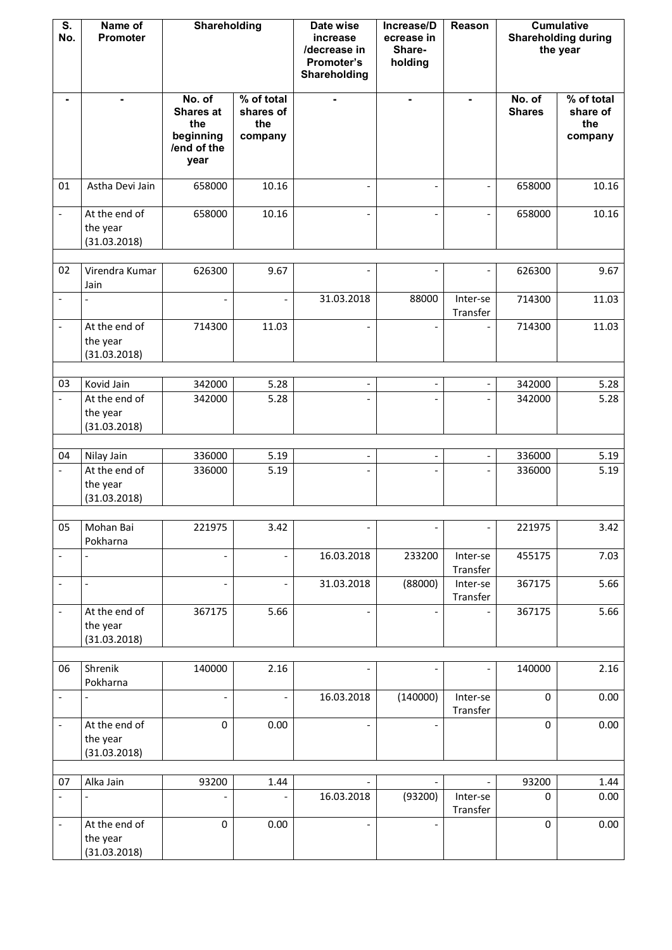| S.<br>No.                | Name of<br>Promoter                       | Shareholding                                                          |                                           | Date wise<br>increase<br>/decrease in<br>Promoter's<br>Shareholding | Increase/D<br>ecrease in<br>Share-<br>holding | Reason                   |                         | <b>Cumulative</b><br><b>Shareholding during</b><br>the year |
|--------------------------|-------------------------------------------|-----------------------------------------------------------------------|-------------------------------------------|---------------------------------------------------------------------|-----------------------------------------------|--------------------------|-------------------------|-------------------------------------------------------------|
|                          | ٠                                         | No. of<br><b>Shares at</b><br>the<br>beginning<br>/end of the<br>year | % of total<br>shares of<br>the<br>company |                                                                     | $\blacksquare$                                | $\blacksquare$           | No. of<br><b>Shares</b> | % of total<br>share of<br>the<br>company                    |
| 01                       | Astha Devi Jain                           | 658000                                                                | 10.16                                     | $\overline{a}$                                                      | $\overline{\phantom{a}}$                      |                          | 658000                  | 10.16                                                       |
| $\overline{\phantom{a}}$ | At the end of<br>the year<br>(31.03.2018) | 658000                                                                | 10.16                                     |                                                                     | $\overline{\phantom{0}}$                      |                          | 658000                  | 10.16                                                       |
| 02                       | Virendra Kumar                            | 626300                                                                | 9.67                                      |                                                                     |                                               |                          | 626300                  | 9.67                                                        |
| $\overline{\phantom{a}}$ | Jain                                      |                                                                       | $\overline{\phantom{a}}$                  | 31.03.2018                                                          | 88000                                         | Inter-se<br>Transfer     | 714300                  | 11.03                                                       |
|                          | At the end of<br>the year<br>(31.03.2018) | 714300                                                                | 11.03                                     |                                                                     |                                               |                          | 714300                  | 11.03                                                       |
| 03                       | Kovid Jain                                | 342000                                                                | 5.28                                      |                                                                     | $\overline{\phantom{a}}$                      |                          | 342000                  | 5.28                                                        |
|                          | At the end of<br>the year<br>(31.03.2018) | 342000                                                                | 5.28                                      |                                                                     |                                               |                          | 342000                  | 5.28                                                        |
| 04                       | Nilay Jain                                | 336000                                                                | 5.19                                      | $\overline{\phantom{0}}$                                            | $\overline{\phantom{a}}$                      | $\overline{\phantom{0}}$ | 336000                  | 5.19                                                        |
|                          | At the end of<br>the year<br>(31.03.2018) | 336000                                                                | 5.19                                      |                                                                     |                                               |                          | 336000                  | 5.19                                                        |
| 05                       | Mohan Bai                                 | 221975                                                                | 3.42                                      |                                                                     |                                               |                          | 221975                  | 3.42                                                        |
|                          | Pokharna                                  |                                                                       |                                           |                                                                     |                                               |                          |                         |                                                             |
| $\overline{\phantom{a}}$ |                                           |                                                                       |                                           | 16.03.2018                                                          | 233200                                        | Inter-se<br>Transfer     | 455175                  | 7.03                                                        |
| $\overline{\phantom{a}}$ | $\overline{\phantom{a}}$                  |                                                                       | $\overline{\phantom{a}}$                  | 31.03.2018                                                          | (88000)                                       | Inter-se<br>Transfer     | 367175                  | 5.66                                                        |
| $\overline{\phantom{a}}$ | At the end of<br>the year<br>(31.03.2018) | 367175                                                                | 5.66                                      |                                                                     |                                               |                          | 367175                  | 5.66                                                        |
| 06                       | Shrenik                                   | 140000                                                                | 2.16                                      |                                                                     |                                               |                          | 140000                  | 2.16                                                        |
|                          | Pokharna                                  |                                                                       |                                           |                                                                     |                                               |                          |                         |                                                             |
| $\overline{\phantom{a}}$ |                                           |                                                                       |                                           | 16.03.2018                                                          | (140000)                                      | Inter-se<br>Transfer     | $\mathbf 0$             | 0.00                                                        |
|                          | At the end of<br>the year<br>(31.03.2018) | $\mathbf 0$                                                           | 0.00                                      |                                                                     |                                               |                          | $\mathbf 0$             | 0.00                                                        |
| 07                       | Alka Jain                                 | 93200                                                                 | 1.44                                      |                                                                     |                                               |                          | 93200                   | 1.44                                                        |
|                          |                                           |                                                                       |                                           | 16.03.2018                                                          | (93200)                                       | Inter-se<br>Transfer     | $\mathbf 0$             | 0.00                                                        |
| $\overline{\phantom{a}}$ | At the end of<br>the year<br>(31.03.2018) | $\pmb{0}$                                                             | 0.00                                      |                                                                     |                                               |                          | $\mathbf 0$             | 0.00                                                        |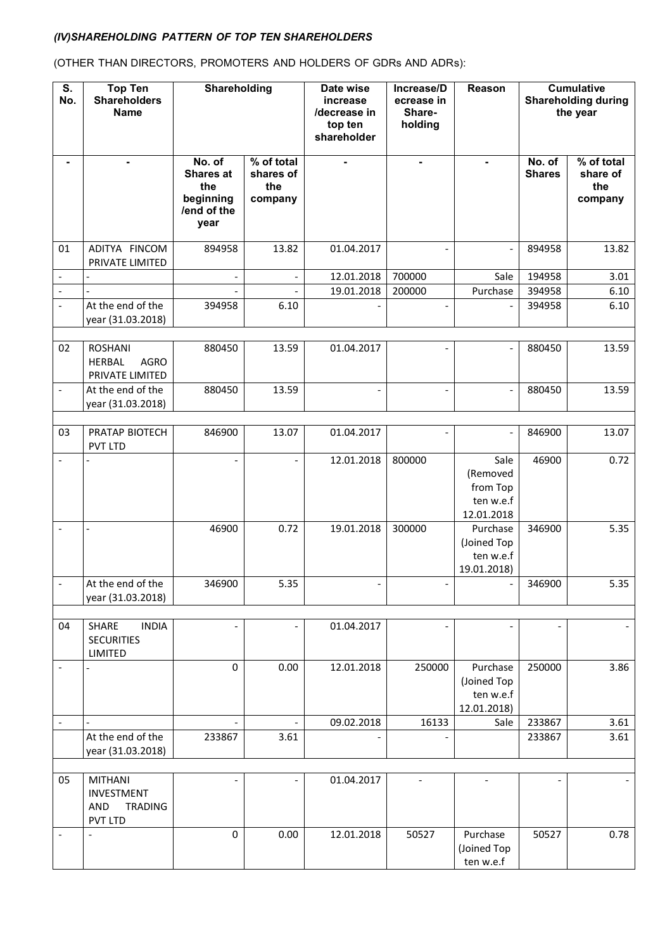## *(IV)SHAREHOLDING PATTERN OF TOP TEN SHAREHOLDERS*

(OTHER THAN DIRECTORS, PROMOTERS AND HOLDERS OF GDRs AND ADRs):

| $\overline{\mathsf{s}}$ .<br>No. | <b>Top Ten</b><br><b>Shareholders</b><br><b>Name</b>                    | <b>Shareholding</b>                                                   |                                           | Date wise<br>increase<br>/decrease in<br>top ten<br>shareholder | Increase/D<br>ecrease in<br>Share-<br>holding | Reason                                                  |                         | <b>Cumulative</b><br><b>Shareholding during</b><br>the year |
|----------------------------------|-------------------------------------------------------------------------|-----------------------------------------------------------------------|-------------------------------------------|-----------------------------------------------------------------|-----------------------------------------------|---------------------------------------------------------|-------------------------|-------------------------------------------------------------|
| ۰                                | $\blacksquare$                                                          | No. of<br><b>Shares at</b><br>the<br>beginning<br>/end of the<br>year | % of total<br>shares of<br>the<br>company | $\blacksquare$                                                  | $\blacksquare$                                | $\blacksquare$                                          | No. of<br><b>Shares</b> | % of total<br>share of<br>the<br>company                    |
| 01                               | ADITYA FINCOM<br>PRIVATE LIMITED                                        | 894958                                                                | 13.82                                     | 01.04.2017                                                      |                                               |                                                         | 894958                  | 13.82                                                       |
| $\overline{\phantom{a}}$         |                                                                         | $\overline{a}$                                                        | $\qquad \qquad \blacksquare$              | 12.01.2018                                                      | 700000                                        | Sale                                                    | 194958                  | 3.01                                                        |
| $\overline{\phantom{a}}$         |                                                                         |                                                                       |                                           | 19.01.2018                                                      | 200000                                        | Purchase                                                | 394958                  | 6.10                                                        |
| $\overline{\phantom{a}}$         | At the end of the<br>year (31.03.2018)                                  | 394958                                                                | 6.10                                      |                                                                 |                                               |                                                         | 394958                  | 6.10                                                        |
| 02                               | <b>ROSHANI</b><br><b>AGRO</b><br><b>HERBAL</b><br>PRIVATE LIMITED       | 880450                                                                | 13.59                                     | 01.04.2017                                                      |                                               |                                                         | 880450                  | 13.59                                                       |
|                                  | At the end of the<br>year (31.03.2018)                                  | 880450                                                                | 13.59                                     |                                                                 |                                               |                                                         | 880450                  | 13.59                                                       |
| 03                               | PRATAP BIOTECH<br>PVT LTD                                               | 846900                                                                | 13.07                                     | 01.04.2017                                                      |                                               | $\overline{a}$                                          | 846900                  | 13.07                                                       |
|                                  |                                                                         |                                                                       |                                           | 12.01.2018                                                      | 800000                                        | Sale<br>(Removed<br>from Top<br>ten w.e.f<br>12.01.2018 | 46900                   | 0.72                                                        |
|                                  |                                                                         | 46900                                                                 | 0.72                                      | 19.01.2018                                                      | 300000                                        | Purchase<br>(Joined Top<br>ten w.e.f<br>19.01.2018)     | 346900                  | 5.35                                                        |
|                                  | At the end of the<br>year (31.03.2018)                                  | 346900                                                                | 5.35                                      |                                                                 |                                               |                                                         | 346900                  | 5.35                                                        |
| 04                               | SHARE<br><b>INDIA</b><br><b>SECURITIES</b><br><b>LIMITED</b>            |                                                                       |                                           | 01.04.2017                                                      |                                               |                                                         |                         |                                                             |
|                                  |                                                                         | 0                                                                     | 0.00                                      | 12.01.2018                                                      | 250000                                        | Purchase<br>(Joined Top<br>ten w.e.f<br>12.01.2018)     | 250000                  | 3.86                                                        |
| $\overline{\phantom{a}}$         |                                                                         |                                                                       |                                           | 09.02.2018                                                      | 16133                                         | Sale                                                    | 233867                  | 3.61                                                        |
|                                  | At the end of the<br>year (31.03.2018)                                  | 233867                                                                | 3.61                                      |                                                                 |                                               |                                                         | 233867                  | 3.61                                                        |
| 05                               | <b>MITHANI</b><br><b>INVESTMENT</b><br><b>AND</b><br>TRADING<br>PVT LTD |                                                                       |                                           | 01.04.2017                                                      |                                               |                                                         |                         |                                                             |
|                                  |                                                                         | 0                                                                     | 0.00                                      | 12.01.2018                                                      | 50527                                         | Purchase<br>(Joined Top<br>ten w.e.f                    | 50527                   | 0.78                                                        |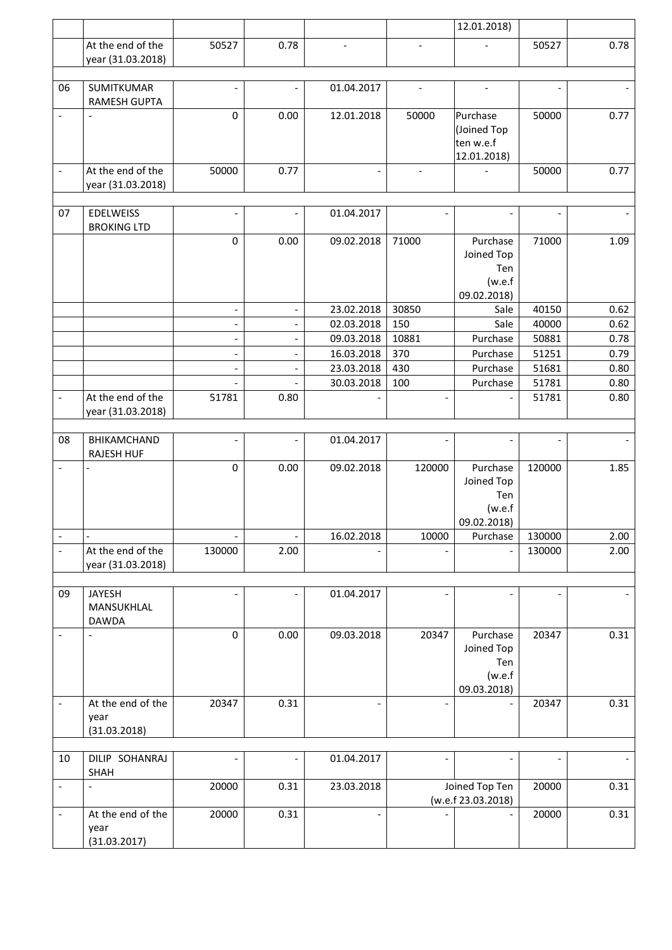|                          |                                          |                          |                          |                          |                          | 12.01.2018)                          |        |      |
|--------------------------|------------------------------------------|--------------------------|--------------------------|--------------------------|--------------------------|--------------------------------------|--------|------|
|                          | At the end of the                        | 50527                    | 0.78                     |                          |                          |                                      | 50527  | 0.78 |
|                          | year (31.03.2018)                        |                          |                          |                          |                          |                                      |        |      |
|                          |                                          |                          |                          |                          |                          |                                      |        |      |
| 06                       | <b>SUMITKUMAR</b><br><b>RAMESH GUPTA</b> | $\overline{\phantom{0}}$ |                          | 01.04.2017               | $\overline{a}$           | $\overline{a}$                       |        |      |
| $\overline{\phantom{a}}$ | $\overline{\phantom{a}}$                 | 0                        | 0.00                     | 12.01.2018               | 50000                    | Purchase                             | 50000  | 0.77 |
|                          |                                          |                          |                          |                          |                          | (Joined Top                          |        |      |
|                          |                                          |                          |                          |                          |                          | ten w.e.f                            |        |      |
|                          | At the end of the                        | 50000                    | 0.77                     | $\overline{\phantom{a}}$ |                          | 12.01.2018)                          | 50000  | 0.77 |
|                          | year (31.03.2018)                        |                          |                          |                          | $\overline{\phantom{a}}$ |                                      |        |      |
|                          |                                          |                          |                          |                          |                          |                                      |        |      |
| 07                       | <b>EDELWEISS</b>                         |                          | $\overline{a}$           | 01.04.2017               |                          |                                      |        |      |
|                          | <b>BROKING LTD</b>                       |                          |                          |                          |                          |                                      |        |      |
|                          |                                          | 0                        | 0.00                     | 09.02.2018               | 71000                    | Purchase                             | 71000  | 1.09 |
|                          |                                          |                          |                          |                          |                          | Joined Top                           |        |      |
|                          |                                          |                          |                          |                          |                          | Ten                                  |        |      |
|                          |                                          |                          |                          |                          |                          | (w.e.f)<br>09.02.2018)               |        |      |
|                          |                                          |                          | $\overline{a}$           | 23.02.2018               | 30850                    | Sale                                 | 40150  | 0.62 |
|                          |                                          | $\overline{\phantom{0}}$ | $\overline{a}$           | 02.03.2018               | 150                      | Sale                                 | 40000  | 0.62 |
|                          |                                          | $\overline{\phantom{0}}$ | $\qquad \qquad -$        | 09.03.2018               | 10881                    | Purchase                             | 50881  | 0.78 |
|                          |                                          | $\overline{a}$           | $\overline{a}$           | 16.03.2018               | 370                      | Purchase                             | 51251  | 0.79 |
|                          |                                          | $\overline{a}$           | $\overline{a}$           | 23.03.2018               | 430                      | Purchase                             | 51681  | 0.80 |
|                          |                                          |                          |                          | 30.03.2018               | 100                      | Purchase                             | 51781  | 0.80 |
|                          | At the end of the                        | 51781                    | 0.80                     |                          |                          |                                      | 51781  | 0.80 |
|                          | year (31.03.2018)                        |                          |                          |                          |                          |                                      |        |      |
|                          |                                          |                          |                          |                          |                          |                                      |        |      |
| 08                       | BHIKAMCHAND                              | $\overline{\phantom{0}}$ | $\overline{a}$           | 01.04.2017               | $\overline{\phantom{a}}$ |                                      |        |      |
|                          | <b>RAJESH HUF</b>                        |                          |                          |                          |                          |                                      |        |      |
| $\overline{\phantom{a}}$ |                                          | 0                        | 0.00                     | 09.02.2018               | 120000                   | Purchase                             | 120000 | 1.85 |
|                          |                                          |                          |                          |                          |                          | Joined Top                           |        |      |
|                          |                                          |                          |                          |                          |                          | Ten                                  |        |      |
|                          |                                          |                          |                          |                          |                          | (w.e.f)<br>09.02.2018)               |        |      |
| $\overline{\phantom{a}}$ |                                          |                          |                          | 16.02.2018               | 10000                    | Purchase                             | 130000 | 2.00 |
| $\overline{\phantom{a}}$ | At the end of the                        | 130000                   | 2.00                     |                          |                          |                                      | 130000 | 2.00 |
|                          | year (31.03.2018)                        |                          |                          |                          |                          |                                      |        |      |
|                          |                                          |                          |                          |                          |                          |                                      |        |      |
| 09                       | <b>JAYESH</b>                            |                          |                          | 01.04.2017               |                          |                                      |        |      |
|                          | MANSUKHLAL                               |                          |                          |                          |                          |                                      |        |      |
|                          | <b>DAWDA</b>                             |                          |                          |                          |                          |                                      |        |      |
|                          | $\overline{\phantom{a}}$                 | 0                        | 0.00                     | 09.03.2018               | 20347                    | Purchase                             | 20347  | 0.31 |
|                          |                                          |                          |                          |                          |                          | Joined Top<br>Ten                    |        |      |
|                          |                                          |                          |                          |                          |                          | (w.e.f)                              |        |      |
|                          |                                          |                          |                          |                          |                          | 09.03.2018)                          |        |      |
|                          | At the end of the                        | 20347                    | 0.31                     |                          | $\overline{\phantom{a}}$ |                                      | 20347  | 0.31 |
|                          | year                                     |                          |                          |                          |                          |                                      |        |      |
|                          | (31.03.2018)                             |                          |                          |                          |                          |                                      |        |      |
|                          |                                          |                          |                          |                          |                          |                                      |        |      |
| 10                       | DILIP SOHANRAJ                           |                          | $\overline{\phantom{0}}$ | 01.04.2017               | $\overline{\phantom{0}}$ |                                      |        |      |
|                          | SHAH                                     |                          |                          |                          |                          |                                      |        |      |
| $\overline{\phantom{a}}$ | $\overline{\phantom{a}}$                 | 20000                    | 0.31                     | 23.03.2018               |                          | Joined Top Ten<br>(w.e.f 23.03.2018) | 20000  | 0.31 |
| $\overline{\phantom{0}}$ | At the end of the                        | 20000                    | 0.31                     | $\overline{a}$           |                          |                                      | 20000  | 0.31 |
|                          | year                                     |                          |                          |                          |                          |                                      |        |      |
|                          | (31.03.2017)                             |                          |                          |                          |                          |                                      |        |      |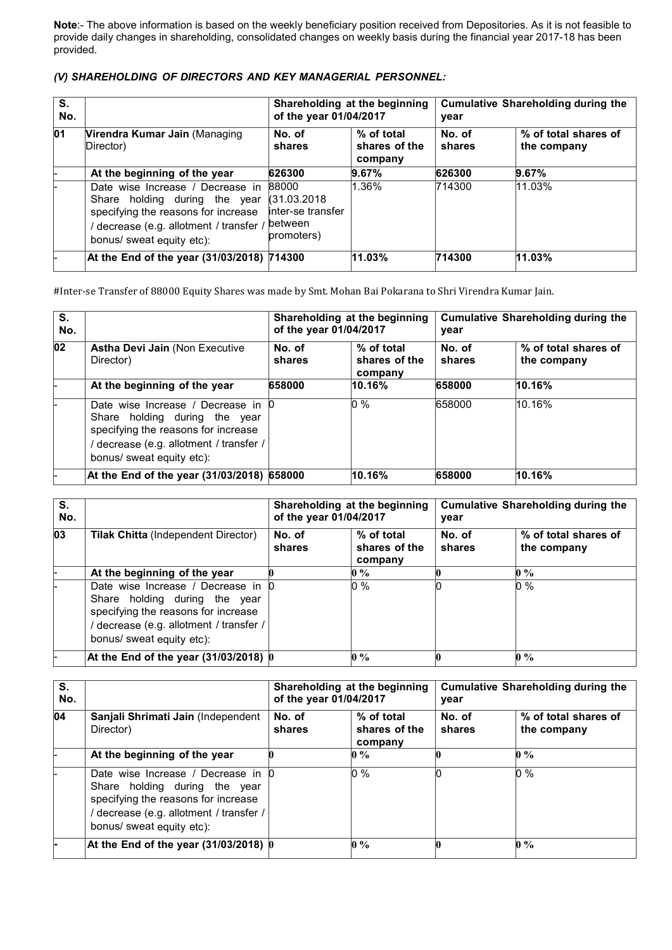**Note**:- The above information is based on the weekly beneficiary position received from Depositories. As it is not feasible to provide daily changes in shareholding, consolidated changes on weekly basis during the financial year 2017-18 has been provided.

#### *(V) SHAREHOLDING OF DIRECTORS AND KEY MANAGERIAL PERSONNEL:*

| S.<br>No. |                                                                                                                                                                                | of the year 01/04/2017                                               | Shareholding at the beginning          | <b>Cumulative Shareholding during the</b><br>year |                                     |  |
|-----------|--------------------------------------------------------------------------------------------------------------------------------------------------------------------------------|----------------------------------------------------------------------|----------------------------------------|---------------------------------------------------|-------------------------------------|--|
| 01        | Virendra Kumar Jain (Managing<br>Director)                                                                                                                                     | No. of<br>shares                                                     | % of total<br>shares of the<br>company | No. of<br>shares                                  | % of total shares of<br>the company |  |
|           | At the beginning of the year                                                                                                                                                   | 626300                                                               | 9.67%                                  | 626300                                            | 9.67%                               |  |
|           | Date wise Increase / Decrease in<br>Share holding during the year<br>specifying the reasons for increase<br>decrease (e.g. allotment / transfer /<br>bonus/ sweat equity etc): | 88000<br>(31.03.2018)<br>linter-se transfer<br>between<br>promoters) | 1.36%                                  | 714300                                            | $11.03\%$                           |  |
|           | At the End of the year (31/03/2018) 714300                                                                                                                                     |                                                                      | 11.03%                                 | 714300                                            | 11.03%                              |  |

#Inter-se Transfer of 88000 Equity Shares was made by Smt. Mohan Bai Pokarana to Shri Virendra Kumar Jain.

| S.<br>No. |                                                                                                                                                                                  | Shareholding at the beginning<br>of the year 01/04/2017<br>year |                                        |                  | <b>Cumulative Shareholding during the</b> |  |
|-----------|----------------------------------------------------------------------------------------------------------------------------------------------------------------------------------|-----------------------------------------------------------------|----------------------------------------|------------------|-------------------------------------------|--|
| 02        | <b>Astha Devi Jain (Non Executive)</b><br>Director)                                                                                                                              | No. of<br>shares                                                | % of total<br>shares of the<br>company | No. of<br>shares | % of total shares of<br>the company       |  |
|           | At the beginning of the year                                                                                                                                                     | 658000                                                          | 10.16%                                 | 658000           | 10.16%                                    |  |
|           | Date wise Increase / Decrease in 0<br>Share holding during the year<br>specifying the reasons for increase<br>decrease (e.g. allotment / transfer /<br>bonus/ sweat equity etc): |                                                                 | 0 %                                    | 658000           | 10.16%                                    |  |
|           | At the End of the year (31/03/2018) 658000                                                                                                                                       |                                                                 | 10.16%                                 | 658000           | 10.16%                                    |  |

| S.<br>No. |                                                                                                                                                                                    | Shareholding at the beginning<br>of the year 01/04/2017<br>year |                                        |                  | <b>Cumulative Shareholding during the</b> |  |
|-----------|------------------------------------------------------------------------------------------------------------------------------------------------------------------------------------|-----------------------------------------------------------------|----------------------------------------|------------------|-------------------------------------------|--|
| 03        | <b>Tilak Chitta</b> (Independent Director)                                                                                                                                         | No. of<br>shares                                                | % of total<br>shares of the<br>company | No. of<br>shares | % of total shares of<br>the company       |  |
|           | At the beginning of the year                                                                                                                                                       |                                                                 | $0\%$                                  |                  | $0\%$                                     |  |
|           | Date wise Increase / Decrease in 0<br>Share holding during the year<br>specifying the reasons for increase<br>/ decrease (e.g. allotment / transfer /<br>bonus/ sweat equity etc): |                                                                 | 0 %                                    |                  | 0 %                                       |  |
|           | At the End of the year $(31/03/2018)$ 0                                                                                                                                            |                                                                 | $0\%$                                  |                  | $0\%$                                     |  |

| S.<br>No. |                                                                                                                                                                                  | Shareholding at the beginning<br>of the year 01/04/2017 |                                        | Cumulative Shareholding during the<br>year |                                     |  |
|-----------|----------------------------------------------------------------------------------------------------------------------------------------------------------------------------------|---------------------------------------------------------|----------------------------------------|--------------------------------------------|-------------------------------------|--|
| 04        | Sanjali Shrimati Jain (Independent<br>Director)                                                                                                                                  | No. of<br>shares                                        | % of total<br>shares of the<br>company | No. of<br>shares                           | % of total shares of<br>the company |  |
|           | At the beginning of the year                                                                                                                                                     |                                                         | $0\%$                                  |                                            | $\mathbf{0}$ %                      |  |
|           | Date wise Increase / Decrease in 0<br>Share holding during the year<br>specifying the reasons for increase<br>decrease (e.g. allotment / transfer /<br>bonus/ sweat equity etc): |                                                         | 0 %                                    |                                            | $0\%$                               |  |
|           | At the End of the year $(31/03/2018)$ 0                                                                                                                                          |                                                         | $\mathbf{0} \mathcal{A}$               |                                            | $\mathbf{0} \%$                     |  |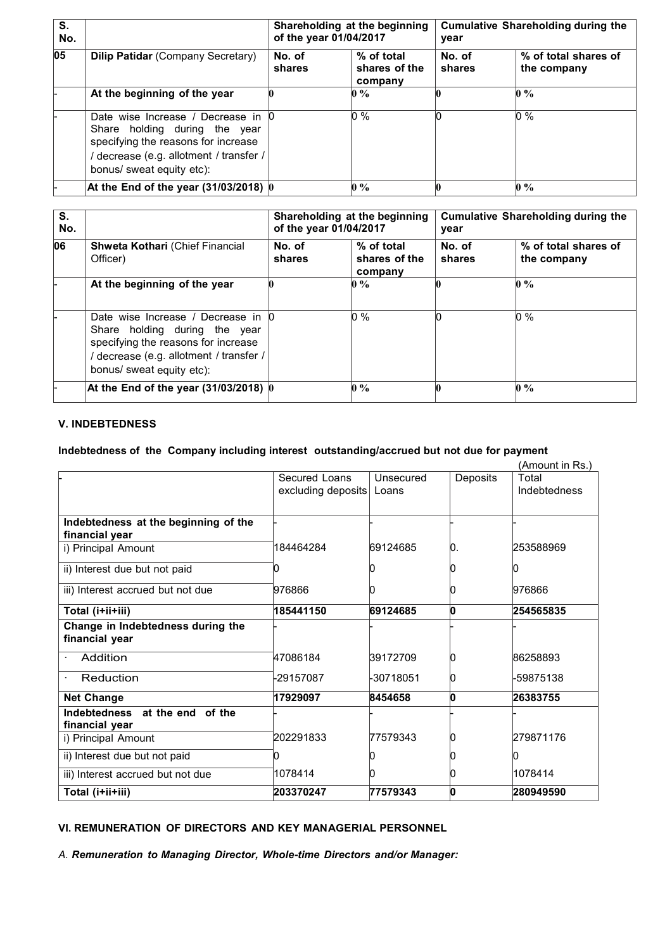| S.<br>No. |                                                                                                                                                                                | Shareholding at the beginning<br>of the year 01/04/2017 |                                        | <b>Cumulative Shareholding during the</b><br>year |                                     |  |
|-----------|--------------------------------------------------------------------------------------------------------------------------------------------------------------------------------|---------------------------------------------------------|----------------------------------------|---------------------------------------------------|-------------------------------------|--|
| 05        | <b>Dilip Patidar (Company Secretary)</b>                                                                                                                                       | No. of<br>shares                                        | % of total<br>shares of the<br>company | No. of<br>shares                                  | % of total shares of<br>the company |  |
|           | At the beginning of the year                                                                                                                                                   |                                                         | $0\%$                                  |                                                   | $\mathbf{0} \mathcal{A}$            |  |
|           | Date wise Increase / Decrease in<br>Share holding during the year<br>specifying the reasons for increase<br>decrease (e.g. allotment / transfer /<br>bonus/ sweat equity etc): |                                                         | 0 %                                    |                                                   | $0\%$                               |  |
|           | At the End of the year $(31/03/2018)$ 0                                                                                                                                        |                                                         | $0\%$                                  |                                                   | $\mathbf{0} \%$                     |  |

| S.<br>No. |                                                                                                                                                                                  | Shareholding at the beginning<br>of the year 01/04/2017 |                                        | Cumulative Shareholding during the<br>year |                                     |
|-----------|----------------------------------------------------------------------------------------------------------------------------------------------------------------------------------|---------------------------------------------------------|----------------------------------------|--------------------------------------------|-------------------------------------|
| 06        | <b>Shweta Kothari (Chief Financial</b><br>Officer)                                                                                                                               | No. of<br>shares                                        | % of total<br>shares of the<br>company | No. of<br>shares                           | % of total shares of<br>the company |
|           | At the beginning of the year                                                                                                                                                     |                                                         | $0\%$                                  |                                            | $\mathbf{0}$ %                      |
|           | Date wise Increase / Decrease in 0<br>Share holding during the year<br>specifying the reasons for increase<br>decrease (e.g. allotment / transfer /<br>bonus/ sweat equity etc): |                                                         | 0 %                                    |                                            | $0\%$                               |
|           | At the End of the year $(31/03/2018)$ 0                                                                                                                                          |                                                         | $0\%$                                  |                                            | $\mathbf{0} \%$                     |

## **V. INDEBTEDNESS**

## **Indebtedness of the Company including interest outstanding/accrued but not due for payment**

|                                                        |                    |           |          | (Amount in Rs.) |
|--------------------------------------------------------|--------------------|-----------|----------|-----------------|
|                                                        | Secured Loans      | Unsecured | Deposits | Total           |
|                                                        | excluding deposits | Loans     |          | Indebtedness    |
|                                                        |                    |           |          |                 |
| Indebtedness at the beginning of the<br>financial year |                    |           |          |                 |
| i) Principal Amount                                    | 184464284          | 69124685  | 10.      | 1253588969      |
| ii) Interest due but not paid                          |                    |           |          |                 |
| iii) Interest accrued but not due                      | 976866             |           |          | 976866          |
| Total (i+ii+iii)                                       | 185441150          | 69124685  |          | 254565835       |
| Change in Indebtedness during the                      |                    |           |          |                 |
| financial year                                         |                    |           |          |                 |
| Addition                                               | 47086184           | 39172709  |          | 86258893        |
| Reduction                                              | -29157087          | -30718051 |          | -59875138       |
| <b>Net Change</b>                                      | 17929097           | 8454658   | n        | 26383755        |
| Indebtedness at the end of the<br>financial year       |                    |           |          |                 |
| i) Principal Amount                                    | 202291833          | 77579343  |          | 279871176       |
| ii) Interest due but not paid                          |                    |           |          |                 |
| iii) Interest accrued but not due                      | 1078414            |           |          | 1078414         |
| Total (i+ii+iii)                                       | 203370247          | 77579343  |          | 280949590       |

## **VI. REMUNERATION OF DIRECTORS AND KEY MANAGERIAL PERSONNEL**

*A. Remuneration to Managing Director, Whole-time Directors and/or Manager:*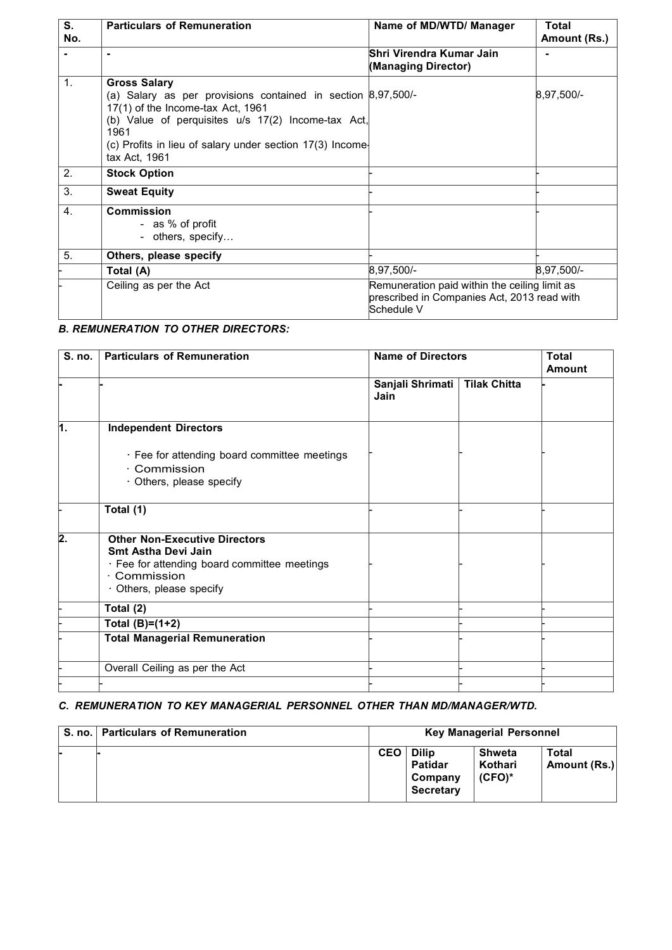| S.<br>No.        | <b>Particulars of Remuneration</b>                                                                                                                                                                                                                                            | Name of MD/WTD/ Manager                                                                                    | <b>Total</b><br>Amount (Rs.) |  |
|------------------|-------------------------------------------------------------------------------------------------------------------------------------------------------------------------------------------------------------------------------------------------------------------------------|------------------------------------------------------------------------------------------------------------|------------------------------|--|
|                  | $\blacksquare$                                                                                                                                                                                                                                                                | Shri Virendra Kumar Jain<br>(Managing Director)                                                            |                              |  |
| 1.               | <b>Gross Salary</b><br>(a) Salary as per provisions contained in section $\beta$ , 97, 500/-<br>17(1) of the Income-tax Act, 1961<br>(b) Value of perquisites u/s 17(2) Income-tax Act,<br>1961<br>(c) Profits in lieu of salary under section 17(3) Income-<br>tax Act, 1961 |                                                                                                            | 8,97,500/-                   |  |
| 2.               | <b>Stock Option</b>                                                                                                                                                                                                                                                           |                                                                                                            |                              |  |
| 3.               | <b>Sweat Equity</b>                                                                                                                                                                                                                                                           |                                                                                                            |                              |  |
| $\overline{4}$ . | <b>Commission</b><br>- as % of profit<br>- others, specify                                                                                                                                                                                                                    |                                                                                                            |                              |  |
| 5.               | Others, please specify                                                                                                                                                                                                                                                        |                                                                                                            |                              |  |
|                  | Total (A)                                                                                                                                                                                                                                                                     | 8,97,500/-                                                                                                 | 8,97,500/-                   |  |
|                  | Ceiling as per the Act                                                                                                                                                                                                                                                        | Remuneration paid within the ceiling limit as<br>prescribed in Companies Act, 2013 read with<br>Schedule V |                              |  |

# *B. REMUNERATION TO OTHER DIRECTORS:*

| S. no.         | <b>Particulars of Remuneration</b>                                                                                                                             | <b>Name of Directors</b> | <b>Total</b><br>Amount |  |
|----------------|----------------------------------------------------------------------------------------------------------------------------------------------------------------|--------------------------|------------------------|--|
|                |                                                                                                                                                                | Sanjali Shrimati<br>Jain | <b>Tilak Chitta</b>    |  |
| ī.             | <b>Independent Directors</b>                                                                                                                                   |                          |                        |  |
|                | · Fee for attending board committee meetings<br>· Commission<br>· Others, please specify                                                                       |                          |                        |  |
|                | Total (1)                                                                                                                                                      |                          |                        |  |
| $\overline{2}$ | <b>Other Non-Executive Directors</b><br><b>Smt Astha Devi Jain</b><br>· Fee for attending board committee meetings<br>· Commission<br>· Others, please specify |                          |                        |  |
|                | Total (2)                                                                                                                                                      |                          |                        |  |
|                | Total $(B)=(1+2)$                                                                                                                                              |                          |                        |  |
|                | <b>Total Managerial Remuneration</b>                                                                                                                           |                          |                        |  |
|                | Overall Ceiling as per the Act                                                                                                                                 |                          |                        |  |
|                |                                                                                                                                                                |                          |                        |  |

## *C. REMUNERATION TO KEY MANAGERIAL PERSONNEL OTHER THAN MD/MANAGER/WTD.*

| S. no.   Particulars of Remuneration | <b>Key Managerial Personnel</b> |                                                               |                                |                       |
|--------------------------------------|---------------------------------|---------------------------------------------------------------|--------------------------------|-----------------------|
|                                      | <b>CEO</b>                      | <b>Dilip</b><br><b>Patidar</b><br>Company<br><b>Secretary</b> | Shweta<br>Kothari<br>$(CFO)^*$ | Total<br>Amount (Rs.) |